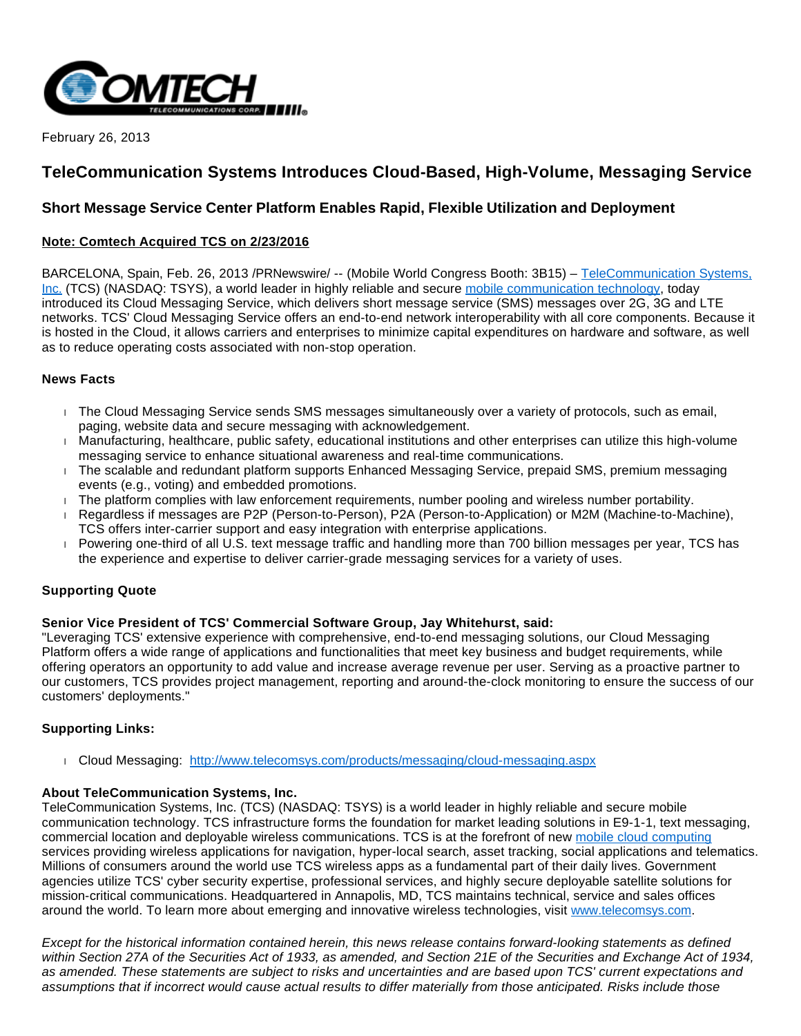

February 26, 2013

# **TeleCommunication Systems Introduces Cloud-Based, High-Volume, Messaging Service**

## **Short Message Service Center Platform Enables Rapid, Flexible Utilization and Deployment**

### **Note: Comtech Acquired TCS on 2/23/2016**

BARCELONA, Spain, Feb. 26, 2013 /PRNewswire/ -- (Mobile World Congress Booth: 3B15) - TeleCommunication Systems, [Inc.](http://www.telecomsys.com/) (TCS) (NASDAQ: TSYS), a world leader in highly reliable and secure [mobile communication technology,](http://www.telecomsys.com/) today introduced its Cloud Messaging Service, which delivers short message service (SMS) messages over 2G, 3G and LTE networks. TCS' Cloud Messaging Service offers an end-to-end network interoperability with all core components. Because it is hosted in the Cloud, it allows carriers and enterprises to minimize capital expenditures on hardware and software, as well as to reduce operating costs associated with non-stop operation.

#### **News Facts**

- The Cloud Messaging Service sends SMS messages simultaneously over a variety of protocols, such as email, paging, website data and secure messaging with acknowledgement.
- Manufacturing, healthcare, public safety, educational institutions and other enterprises can utilize this high-volume messaging service to enhance situational awareness and real-time communications.
- The scalable and redundant platform supports Enhanced Messaging Service, prepaid SMS, premium messaging events (e.g., voting) and embedded promotions.
- The platform complies with law enforcement requirements, number pooling and wireless number portability.
- Regardless if messages are P2P (Person-to-Person), P2A (Person-to-Application) or M2M (Machine-to-Machine), TCS offers inter-carrier support and easy integration with enterprise applications.
- Powering one-third of all U.S. text message traffic and handling more than 700 billion messages per year, TCS has the experience and expertise to deliver carrier-grade messaging services for a variety of uses.

## **Supporting Quote**

#### **Senior Vice President of TCS' Commercial Software Group, Jay Whitehurst, said:**

"Leveraging TCS' extensive experience with comprehensive, end-to-end messaging solutions, our Cloud Messaging Platform offers a wide range of applications and functionalities that meet key business and budget requirements, while offering operators an opportunity to add value and increase average revenue per user. Serving as a proactive partner to our customers, TCS provides project management, reporting and around-the-clock monitoring to ensure the success of our customers' deployments."

## **Supporting Links:**

Cloud Messaging: <http://www.telecomsys.com/products/messaging/cloud-messaging.aspx>

#### **About TeleCommunication Systems, Inc.**

TeleCommunication Systems, Inc. (TCS) (NASDAQ: TSYS) is a world leader in highly reliable and secure mobile communication technology. TCS infrastructure forms the foundation for market leading solutions in E9-1-1, text messaging, commercial location and deployable wireless communications. TCS is at the forefront of new [mobile cloud computing](http://www.telecomsys.com/) services providing wireless applications for navigation, hyper-local search, asset tracking, social applications and telematics. Millions of consumers around the world use TCS wireless apps as a fundamental part of their daily lives. Government agencies utilize TCS' cyber security expertise, professional services, and highly secure deployable satellite solutions for mission-critical communications. Headquartered in Annapolis, MD, TCS maintains technical, service and sales offices around the world. To learn more about emerging and innovative wireless technologies, visit [www.telecomsys.com.](http://www.telecomsys.com/)

Except for the historical information contained herein, this news release contains forward-looking statements as defined within Section 27A of the Securities Act of 1933, as amended, and Section 21E of the Securities and Exchange Act of 1934, as amended. These statements are subject to risks and uncertainties and are based upon TCS' current expectations and assumptions that if incorrect would cause actual results to differ materially from those anticipated. Risks include those